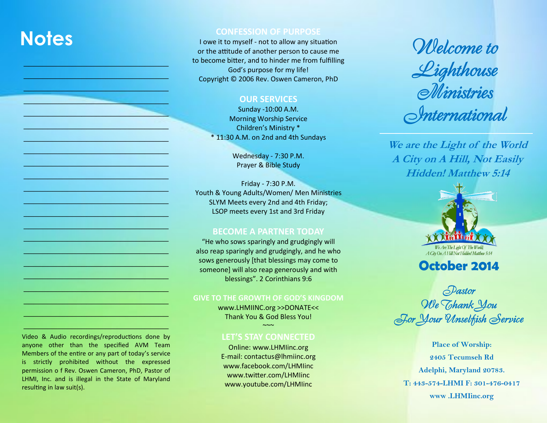# **Notes**

 $\frac{1}{2}$  ,  $\frac{1}{2}$  ,  $\frac{1}{2}$  ,  $\frac{1}{2}$  ,  $\frac{1}{2}$  ,  $\frac{1}{2}$  ,  $\frac{1}{2}$  ,  $\frac{1}{2}$  ,  $\frac{1}{2}$  ,  $\frac{1}{2}$  ,  $\frac{1}{2}$  ,  $\frac{1}{2}$  ,  $\frac{1}{2}$  $\frac{1}{2}$  ,  $\frac{1}{2}$  ,  $\frac{1}{2}$  ,  $\frac{1}{2}$  ,  $\frac{1}{2}$  ,  $\frac{1}{2}$  ,  $\frac{1}{2}$  ,  $\frac{1}{2}$  ,  $\frac{1}{2}$  ,  $\frac{1}{2}$  ,  $\frac{1}{2}$  ,  $\frac{1}{2}$  ,  $\frac{1}{2}$  ,  $\frac{1}{2}$  ,  $\frac{1}{2}$  $\mathcal{L} = \{ \mathcal{L} \mid \mathcal{L} \in \mathcal{L} \mid \mathcal{L} \in \mathcal{L} \text{ and } \mathcal{L} \in \mathcal{L} \}$  $\mathcal{L}=\{L_1,\ldots,L_n\}$  , we can also the set of  $L_1$ \_\_\_\_\_\_\_\_\_\_\_\_\_\_\_\_\_\_\_\_\_\_\_\_\_\_\_\_\_\_  $\frac{1}{2}$  ,  $\frac{1}{2}$  ,  $\frac{1}{2}$  ,  $\frac{1}{2}$  ,  $\frac{1}{2}$  ,  $\frac{1}{2}$  ,  $\frac{1}{2}$  ,  $\frac{1}{2}$  ,  $\frac{1}{2}$  ,  $\frac{1}{2}$  ,  $\frac{1}{2}$  ,  $\frac{1}{2}$  ,  $\frac{1}{2}$  ,  $\frac{1}{2}$  ,  $\frac{1}{2}$  ,  $\frac{1}{2}$  ,  $\frac{1}{2}$  ,  $\frac{1}{2}$  ,  $\frac{1$  $\frac{1}{2}$  ,  $\frac{1}{2}$  ,  $\frac{1}{2}$  ,  $\frac{1}{2}$  ,  $\frac{1}{2}$  ,  $\frac{1}{2}$  ,  $\frac{1}{2}$  ,  $\frac{1}{2}$  ,  $\frac{1}{2}$  ,  $\frac{1}{2}$  ,  $\frac{1}{2}$  ,  $\frac{1}{2}$  ,  $\frac{1}{2}$  ,  $\frac{1}{2}$  ,  $\frac{1}{2}$  ,  $\frac{1}{2}$  ,  $\frac{1}{2}$  ,  $\frac{1}{2}$  ,  $\frac{1$  $\mathcal{L}=\{1,2,3,4,2,5,4,6,6,7,1,2,1\}$  $\frac{1}{2}$  ,  $\frac{1}{2}$  ,  $\frac{1}{2}$  ,  $\frac{1}{2}$  ,  $\frac{1}{2}$  ,  $\frac{1}{2}$  ,  $\frac{1}{2}$  ,  $\frac{1}{2}$  ,  $\frac{1}{2}$  ,  $\frac{1}{2}$  ,  $\frac{1}{2}$  ,  $\frac{1}{2}$  $\frac{1}{2}$  ,  $\frac{1}{2}$  ,  $\frac{1}{2}$  ,  $\frac{1}{2}$  ,  $\frac{1}{2}$  ,  $\frac{1}{2}$  ,  $\frac{1}{2}$  ,  $\frac{1}{2}$  ,  $\frac{1}{2}$  ,  $\frac{1}{2}$  ,  $\frac{1}{2}$  ,  $\frac{1}{2}$  ,  $\frac{1}{2}$  ,  $\frac{1}{2}$  $\Box$  ,  $\Box$  ,  $\Box$  ,  $\Box$  ,  $\Box$  ,  $\Box$  ,  $\Box$  ,  $\Box$  ,  $\Box$  $\Box$  ,  $\Box$  ,  $\Box$  ,  $\Box$  ,  $\Box$  ,  $\Box$  ,  $\Box$  ,  $\Box$  $\frac{1}{\sqrt{2}}\left(\frac{1}{2}+\frac{1}{2}+\frac{1}{2}\right)\left(\frac{1}{2}+\frac{1}{2}\right)\left(\frac{1}{2}+\frac{1}{2}\right)\left(\frac{1}{2}+\frac{1}{2}\right)\left(\frac{1}{2}+\frac{1}{2}\right)\left(\frac{1}{2}+\frac{1}{2}\right)\left(\frac{1}{2}+\frac{1}{2}\right)\left(\frac{1}{2}+\frac{1}{2}\right)\left(\frac{1}{2}+\frac{1}{2}\right)\left(\frac{1}{2}+\frac{1}{2}\right)\left(\frac{1}{2}+\frac{1}{2}\right)\left(\frac{1}{2}+\frac{1}{2}\$  $\_$  ,  $\_$  ,  $\_$  ,  $\_$  ,  $\_$  ,  $\_$  ,  $\_$  ,  $\_$  ,  $\_$  ,  $\_$  ,  $\_$  ,  $\_$  ,  $\_$  ,  $\_$  $\frac{1}{2}$  ,  $\frac{1}{2}$  ,  $\frac{1}{2}$  ,  $\frac{1}{2}$  ,  $\frac{1}{2}$  ,  $\frac{1}{2}$  ,  $\frac{1}{2}$  ,  $\frac{1}{2}$  ,  $\frac{1}{2}$  ,  $\frac{1}{2}$  ,  $\frac{1}{2}$  ,  $\frac{1}{2}$  ,  $\frac{1}{2}$  $\frac{1}{2}$  ,  $\frac{1}{2}$  ,  $\frac{1}{2}$  ,  $\frac{1}{2}$  ,  $\frac{1}{2}$  ,  $\frac{1}{2}$  ,  $\frac{1}{2}$  ,  $\frac{1}{2}$  ,  $\frac{1}{2}$  ,  $\frac{1}{2}$ \_\_\_\_\_\_\_\_\_\_\_\_\_\_\_\_\_\_\_\_\_\_\_\_\_\_\_\_\_\_  $\frac{1}{2} \frac{1}{2} \frac{1}{2} \frac{1}{2} \frac{1}{2} \frac{1}{2} \frac{1}{2} \frac{1}{2} \frac{1}{2} \frac{1}{2} \frac{1}{2} \frac{1}{2} \frac{1}{2} \frac{1}{2} \frac{1}{2} \frac{1}{2} \frac{1}{2} \frac{1}{2} \frac{1}{2} \frac{1}{2} \frac{1}{2} \frac{1}{2} \frac{1}{2} \frac{1}{2} \frac{1}{2} \frac{1}{2} \frac{1}{2} \frac{1}{2} \frac{1}{2} \frac{1}{2} \frac{1}{2} \frac{$  $\frac{1}{2}$  ,  $\frac{1}{2}$  ,  $\frac{1}{2}$  ,  $\frac{1}{2}$  ,  $\frac{1}{2}$  ,  $\frac{1}{2}$  ,  $\frac{1}{2}$  ,  $\frac{1}{2}$  ,  $\frac{1}{2}$  ,  $\frac{1}{2}$  ,  $\frac{1}{2}$  ,  $\frac{1}{2}$  ,  $\frac{1}{2}$  ,  $\frac{1}{2}$  ,  $\frac{1}{2}$  ,  $\frac{1}{2}$  ,  $\frac{1}{2}$  ,  $\frac{1}{2}$  ,  $\frac{1$  $-\frac{1}{2}$  ,  $\frac{1}{2}$  ,  $\frac{1}{2}$  ,  $\frac{1}{2}$  ,  $\frac{1}{2}$  ,  $\frac{1}{2}$  ,  $\frac{1}{2}$  ,  $\frac{1}{2}$  ,  $\frac{1}{2}$  ,  $\frac{1}{2}$  ,  $\frac{1}{2}$  ,  $\frac{1}{2}$  ,  $\frac{1}{2}$  ,  $\frac{1}{2}$  ,  $\frac{1}{2}$  ,  $\frac{1}{2}$  ,  $\frac{1}{2}$  ,  $\frac{1}{2}$  ,  $\frac{1$ \_\_\_\_\_\_\_\_\_\_\_\_\_\_\_\_\_\_\_\_\_\_\_\_\_\_\_\_\_\_  $\frac{1}{2}$  ,  $\frac{1}{2}$  ,  $\frac{1}{2}$  ,  $\frac{1}{2}$  ,  $\frac{1}{2}$  ,  $\frac{1}{2}$  ,  $\frac{1}{2}$  ,  $\frac{1}{2}$  ,  $\frac{1}{2}$  ,  $\frac{1}{2}$  ,  $\frac{1}{2}$  ,  $\frac{1}{2}$  ,  $\frac{1}{2}$ 

### **CONFESSION OF PURPOSE**

I owe it to myself - not to allow any situation or the attitude of another person to cause me to become bitter, and to hinder me from fulfilling God's purpose for my life! Copyright © 2006 Rev. Oswen Cameron, PhD

### **OUR SERVICES**

Sunday -10:00 A.M. Morning Worship Service Children's Ministry \* \* 11:30 A.M. on 2nd and 4th Sundays

> Wednesday - 7:30 P.M. Prayer & Bible Study

Friday - 7:30 P.M. Youth & Young Adults/Women/ Men Ministries SLYM Meets every 2nd and 4th Friday; LSOP meets every 1st and 3rd Friday

### **BECOME A PARTNER TODAY**

"He who sows sparingly and grudgingly will also reap sparingly and grudgingly, and he who sows generously [that blessings may come to someone] will also reap generously and with blessings". 2 Corinthians 9:6

### **GIVE TO THE GROWTH OF GOD'S KINGDOM**

www.LHMIINC.org >>DONATE<< Thank You & God Bless You!

### $\sim$ ~ $\sim$ **LET'S STAY CONNECTED**

Online: www.LHMIinc.org E-mail: contactus@lhmiinc.org www.facebook.com/LHMIinc www.twitter.com/LHMIinc www.youtube.com/LHMIinc

Welcome to Lighthouse Ministries International

**We are the Light of the World A City on A Hill, Not Easily Hidden! Matthew 5:14**



## **October 2014**

Pastor We Thank You For Your Unselfish Service

**Place of Worship: 2405 Tecumseh Rd Adelphi, Maryland 20783. T: 443-574-LHMI F: 301-476-0417 www .LHMIinc.org**

Video & Audio recordings/reproductions done by anyone other than the specified AVM Team Members of the entire or any part of today's service is strictly prohibited without the expressed permission o f Rev. Oswen Cameron, PhD, Pastor of LHMI, Inc. and is illegal in the State of Maryland resulting in law suit(s).